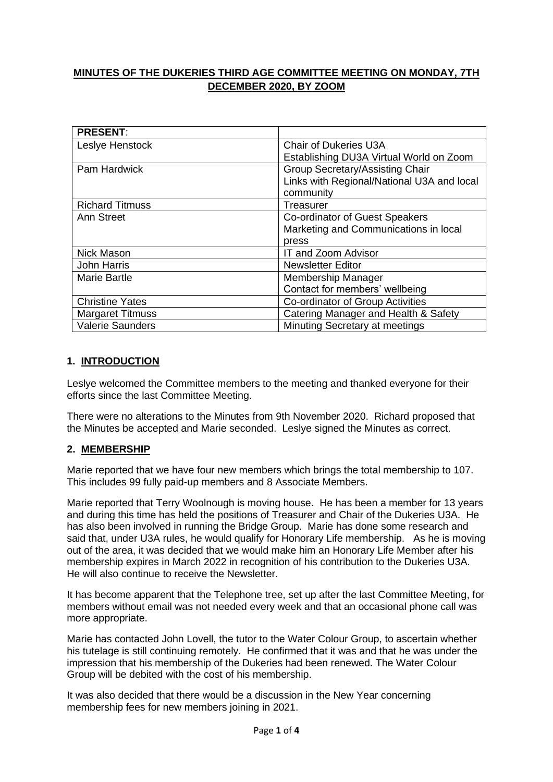# **MINUTES OF THE DUKERIES THIRD AGE COMMITTEE MEETING ON MONDAY, 7TH DECEMBER 2020, BY ZOOM**

| <b>PRESENT:</b>         |                                            |
|-------------------------|--------------------------------------------|
| Leslye Henstock         | <b>Chair of Dukeries U3A</b>               |
|                         | Establishing DU3A Virtual World on Zoom    |
| <b>Pam Hardwick</b>     | <b>Group Secretary/Assisting Chair</b>     |
|                         | Links with Regional/National U3A and local |
|                         | community                                  |
| <b>Richard Titmuss</b>  | Treasurer                                  |
| Ann Street              | Co-ordinator of Guest Speakers             |
|                         | Marketing and Communications in local      |
|                         | press                                      |
| <b>Nick Mason</b>       | IT and Zoom Advisor                        |
| <b>John Harris</b>      | <b>Newsletter Editor</b>                   |
| Marie Bartle            | Membership Manager                         |
|                         | Contact for members' wellbeing             |
| <b>Christine Yates</b>  | Co-ordinator of Group Activities           |
| <b>Margaret Titmuss</b> | Catering Manager and Health & Safety       |
| Valerie Saunders        | Minuting Secretary at meetings             |

# **1. INTRODUCTION**

Leslye welcomed the Committee members to the meeting and thanked everyone for their efforts since the last Committee Meeting.

There were no alterations to the Minutes from 9th November 2020. Richard proposed that the Minutes be accepted and Marie seconded. Leslye signed the Minutes as correct.

# **2. MEMBERSHIP**

Marie reported that we have four new members which brings the total membership to 107. This includes 99 fully paid-up members and 8 Associate Members.

Marie reported that Terry Woolnough is moving house. He has been a member for 13 years and during this time has held the positions of Treasurer and Chair of the Dukeries U3A. He has also been involved in running the Bridge Group. Marie has done some research and said that, under U3A rules, he would qualify for Honorary Life membership. As he is moving out of the area, it was decided that we would make him an Honorary Life Member after his membership expires in March 2022 in recognition of his contribution to the Dukeries U3A. He will also continue to receive the Newsletter.

It has become apparent that the Telephone tree, set up after the last Committee Meeting, for members without email was not needed every week and that an occasional phone call was more appropriate.

Marie has contacted John Lovell, the tutor to the Water Colour Group, to ascertain whether his tutelage is still continuing remotely. He confirmed that it was and that he was under the impression that his membership of the Dukeries had been renewed. The Water Colour Group will be debited with the cost of his membership.

It was also decided that there would be a discussion in the New Year concerning membership fees for new members joining in 2021.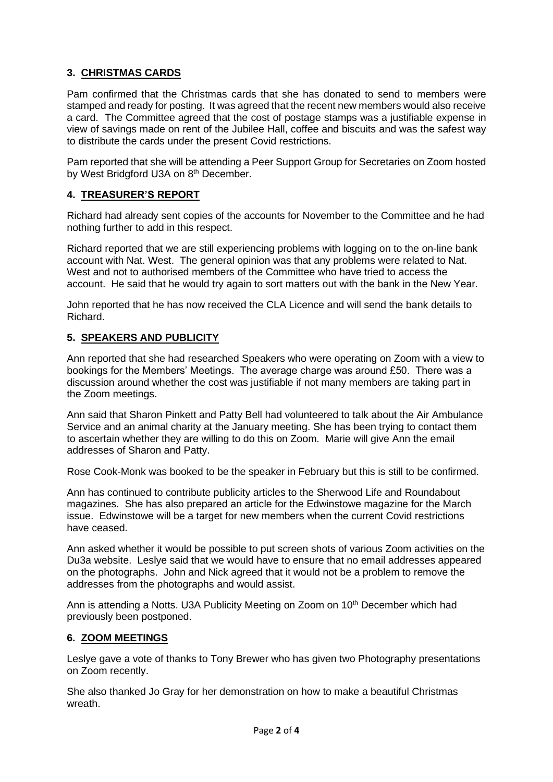# **3. CHRISTMAS CARDS**

Pam confirmed that the Christmas cards that she has donated to send to members were stamped and ready for posting. It was agreed that the recent new members would also receive a card. The Committee agreed that the cost of postage stamps was a justifiable expense in view of savings made on rent of the Jubilee Hall, coffee and biscuits and was the safest way to distribute the cards under the present Covid restrictions.

Pam reported that she will be attending a Peer Support Group for Secretaries on Zoom hosted by West Bridgford U3A on 8<sup>th</sup> December.

#### **4. TREASURER'S REPORT**

Richard had already sent copies of the accounts for November to the Committee and he had nothing further to add in this respect.

Richard reported that we are still experiencing problems with logging on to the on-line bank account with Nat. West. The general opinion was that any problems were related to Nat. West and not to authorised members of the Committee who have tried to access the account. He said that he would try again to sort matters out with the bank in the New Year.

John reported that he has now received the CLA Licence and will send the bank details to Richard.

#### **5. SPEAKERS AND PUBLICITY**

Ann reported that she had researched Speakers who were operating on Zoom with a view to bookings for the Members' Meetings. The average charge was around £50. There was a discussion around whether the cost was justifiable if not many members are taking part in the Zoom meetings.

Ann said that Sharon Pinkett and Patty Bell had volunteered to talk about the Air Ambulance Service and an animal charity at the January meeting. She has been trying to contact them to ascertain whether they are willing to do this on Zoom. Marie will give Ann the email addresses of Sharon and Patty.

Rose Cook-Monk was booked to be the speaker in February but this is still to be confirmed.

Ann has continued to contribute publicity articles to the Sherwood Life and Roundabout magazines. She has also prepared an article for the Edwinstowe magazine for the March issue. Edwinstowe will be a target for new members when the current Covid restrictions have ceased.

Ann asked whether it would be possible to put screen shots of various Zoom activities on the Du3a website. Leslye said that we would have to ensure that no email addresses appeared on the photographs. John and Nick agreed that it would not be a problem to remove the addresses from the photographs and would assist.

Ann is attending a Notts. U3A Publicity Meeting on Zoom on  $10<sup>th</sup>$  December which had previously been postponed.

#### **6. ZOOM MEETINGS**

Leslye gave a vote of thanks to Tony Brewer who has given two Photography presentations on Zoom recently.

She also thanked Jo Gray for her demonstration on how to make a beautiful Christmas wreath.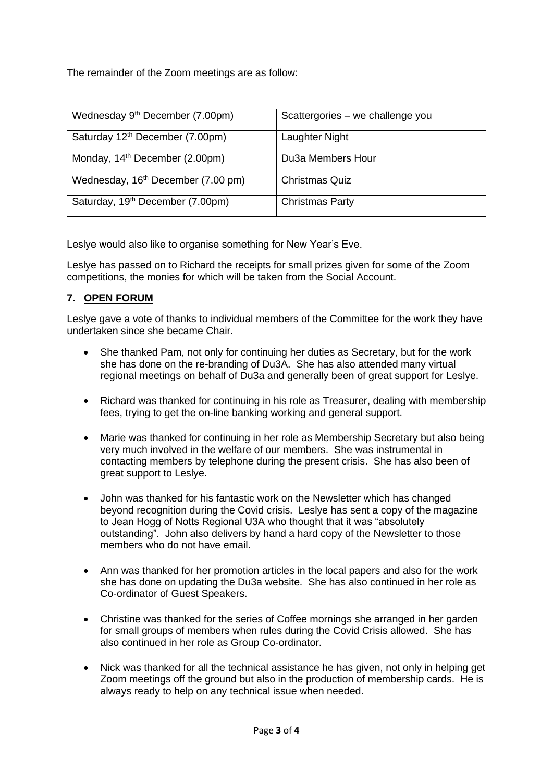The remainder of the Zoom meetings are as follow:

| Wednesday 9 <sup>th</sup> December (7.00pm)    | Scattergories - we challenge you |
|------------------------------------------------|----------------------------------|
| Saturday 12 <sup>th</sup> December (7.00pm)    | Laughter Night                   |
| Monday, 14 <sup>th</sup> December (2.00pm)     | Du3a Members Hour                |
| Wednesday, 16 <sup>th</sup> December (7.00 pm) | <b>Christmas Quiz</b>            |
| Saturday, 19th December (7.00pm)               | <b>Christmas Party</b>           |

Leslye would also like to organise something for New Year's Eve.

Leslye has passed on to Richard the receipts for small prizes given for some of the Zoom competitions, the monies for which will be taken from the Social Account.

# **7. OPEN FORUM**

Leslye gave a vote of thanks to individual members of the Committee for the work they have undertaken since she became Chair.

- She thanked Pam, not only for continuing her duties as Secretary, but for the work she has done on the re-branding of Du3A. She has also attended many virtual regional meetings on behalf of Du3a and generally been of great support for Leslye.
- Richard was thanked for continuing in his role as Treasurer, dealing with membership fees, trying to get the on-line banking working and general support.
- Marie was thanked for continuing in her role as Membership Secretary but also being very much involved in the welfare of our members. She was instrumental in contacting members by telephone during the present crisis. She has also been of great support to Leslye.
- John was thanked for his fantastic work on the Newsletter which has changed beyond recognition during the Covid crisis. Leslye has sent a copy of the magazine to Jean Hogg of Notts Regional U3A who thought that it was "absolutely outstanding". John also delivers by hand a hard copy of the Newsletter to those members who do not have email.
- Ann was thanked for her promotion articles in the local papers and also for the work she has done on updating the Du3a website. She has also continued in her role as Co-ordinator of Guest Speakers.
- Christine was thanked for the series of Coffee mornings she arranged in her garden for small groups of members when rules during the Covid Crisis allowed. She has also continued in her role as Group Co-ordinator.
- Nick was thanked for all the technical assistance he has given, not only in helping get Zoom meetings off the ground but also in the production of membership cards. He is always ready to help on any technical issue when needed.